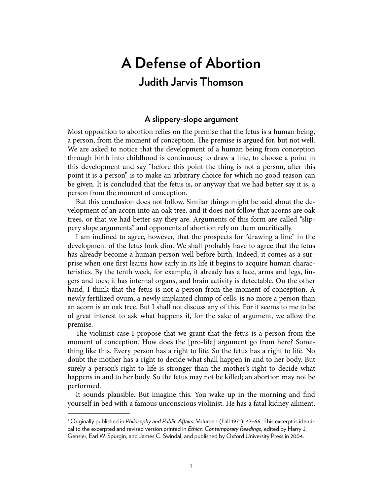# **A Defense of Abortion Judith Jarvis Thomson**

### <span id="page-0-1"></span>**A slippery-slope argument**

Most opposition to abortion relies on the premise that the fetus is a human being, a person, from the moment of conception. The premise is argued for, but not well. We are asked to notice that the development of a human being from conception through birth into childhood is continuous; to draw a line, to choose a point in this development and say "before this point the thing is not a person, afer this point it is a person" is to make an arbitrary choice for which no good reason can be given. It is concluded that the fetus is, or anyway that we had better say it is, a person from the moment of conception.

But this conclusion does not follow. Similar things might be said about the development of an acorn into an oak tree, and it does not follow that acorns are oak trees, or that we had better say they are. Arguments of this form are called "slippery slope arguments" and opponents of abortion rely on them uncritically.

I am inclined to agree, however, that the prospects for "drawing a line" in the development of the fetus look dim. We shall probably have to agree that the fetus has already become a human person well before birth. Indeed, it comes as a surprise when one first learns how early in its life it begins to acquire human characteristics. By the tenth week, for example, it already has a face, arms and legs, fingers and toes; it has internal organs, and brain activity is detectable. On the other hand, I think that the fetus is not a person from the moment of conception. A newly fertilized ovum, a newly implanted clump of cells, is no more a person than an acorn is an oak tree. But I shall not discuss any of this. For it seems to me to be of great interest to ask what happens if, for the sake of argument, we allow the premise.

The violinist case I propose that we grant that the fetus is a person from the moment of conception. How does the [pro-life] argument go from here? Something like this. Every person has a right to life. So the fetus has a right to life. No doubt the mother has a right to decide what shall happen in and to her body. But surely a person's right to life is stronger than the mother's right to decide what happens in and to her body. So the fetus may not be killed; an abortion may not be performed.

It sounds plausible. But imagine this. You wake up in the morning and find yourself in bed with a famous unconscious violinist. He has a fatal kidney ailment,

<span id="page-0-0"></span><sup>&</sup>lt;sup>[1](#page-0-1)</sup> Originally published in *Philosophy and Public Affairs*, Volume 1 (Fall 1971): 47–66. This excerpt is identical to the excerpted and revised version printed in *Ethics: Contemporary Readings*, edited by Harry J. Gensler, Earl W. Spurgin, and James C. Swindal, and published by Oxford University Press in 2004.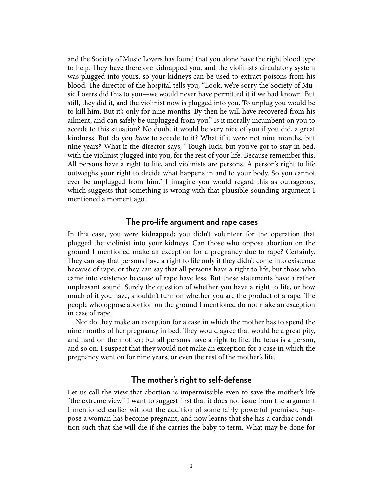and the Society of Music Lovers has found that you alone have the right blood type to help. They have therefore kidnapped you, and the violinist's circulatory system was plugged into yours, so your kidneys can be used to extract poisons from his blood. The director of the hospital tells you, "Look, we're sorry the Society of Music Lovers did this to you—we would never have permitted it if we had known. But still, they did it, and the violinist now is plugged into you. To unplug you would be to kill him. But it's only for nine months. By then he will have recovered from his ailment, and can safely be unplugged from you." Is it morally incumbent on you to accede to this situation? No doubt it would be very nice of you if you did, a great kindness. But do you *have* to accede to it? What if it were not nine months, but nine years? What if the director says, "Tough luck, but you've got to stay in bed, with the violinist plugged into you, for the rest of your life. Because remember this. All persons have a right to life, and violinists are persons. A person's right to life outweighs your right to decide what happens in and to your body. So you cannot ever be unplugged from him." I imagine you would regard this as outrageous, which suggests that something is wrong with that plausible-sounding argument I mentioned a moment ago.

#### **The pro-life argument and rape cases**

In this case, you were kidnapped; you didn't volunteer for the operation that plugged the violinist into your kidneys. Can those who oppose abortion on the ground I mentioned make an exception for a pregnancy due to rape? Certainly. They can say that persons have a right to life only if they didn't come into existence because of rape; or they can say that all persons have a right to life, but those who came into existence because of rape have less. But these statements have a rather unpleasant sound. Surely the question of whether you have a right to life, or how much of it you have, shouldn't turn on whether you are the product of a rape. The people who oppose abortion on the ground I mentioned do not make an exception in case of rape.

Nor do they make an exception for a case in which the mother has to spend the nine months of her pregnancy in bed. They would agree that would be a great pity, and hard on the mother; but all persons have a right to life, the fetus is a person, and so on. I suspect that they would not make an exception for a case in which the pregnancy went on for nine years, or even the rest of the mother's life.

#### **The mother's right to self-defense**

Let us call the view that abortion is impermissible even to save the mother's life "the extreme view." I want to suggest first that it does not issue from the argument I mentioned earlier without the addition of some fairly powerful premises. Suppose a woman has become pregnant, and now learns that she has a cardiac condition such that she will die if she carries the baby to term. What may be done for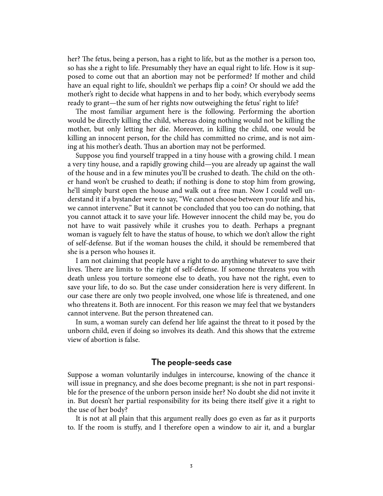her? The fetus, being a person, has a right to life, but as the mother is a person too, so has she a right to life. Presumably they have an equal right to life. How is it supposed to come out that an abortion may not be performed? If mother and child have an equal right to life, shouldn't we perhaps flip a coin? Or should we add the mother's right to decide what happens in and to her body, which everybody seems ready to grant—the sum of her rights now outweighing the fetus' right to life?

The most familiar argument here is the following. Performing the abortion would be directly killing the child, whereas doing nothing would not be killing the mother, but only letting her die. Moreover, in killing the child, one would be killing an innocent person, for the child has committed no crime, and is not aiming at his mother's death. Thus an abortion may not be performed.

Suppose you find yourself trapped in a tiny house with a growing child. I mean a very tiny house, and a rapidly growing child—you are already up against the wall of the house and in a few minutes you'll be crushed to death. The child on the other hand won't be crushed to death; if nothing is done to stop him from growing, he'll simply burst open the house and walk out a free man. Now I could well understand it if a bystander were to say, "We cannot choose between your life and his, we cannot intervene." But it cannot be concluded that you too can do nothing, that you cannot attack it to save your life. However innocent the child may be, you do not have to wait passively while it crushes you to death. Perhaps a pregnant woman is vaguely felt to have the status of house, to which we don't allow the right of self-defense. But if the woman houses the child, it should be remembered that she is a person who houses it.

I am not claiming that people have a right to do anything whatever to save their lives. There are limits to the right of self-defense. If someone threatens you with death unless you torture someone else to death, you have not the right, even to save your life, to do so. But the case under consideration here is very different. In our case there are only two people involved, one whose life is threatened, and one who threatens it. Both are innocent. For this reason we may feel that we bystanders cannot intervene. But the person threatened can.

In sum, a woman surely can defend her life against the threat to it posed by the unborn child, even if doing so involves its death. And this shows that the extreme view of abortion is false.

## **The people-seeds case**

Suppose a woman voluntarily indulges in intercourse, knowing of the chance it will issue in pregnancy, and she does become pregnant; is she not in part responsible for the presence of the unborn person inside her? No doubt she did not invite it in. But doesn't her partial responsibility for its being there itself give it a right to the use of her body?

It is not at all plain that this argument really does go even as far as it purports to. If the room is stuffy, and I therefore open a window to air it, and a burglar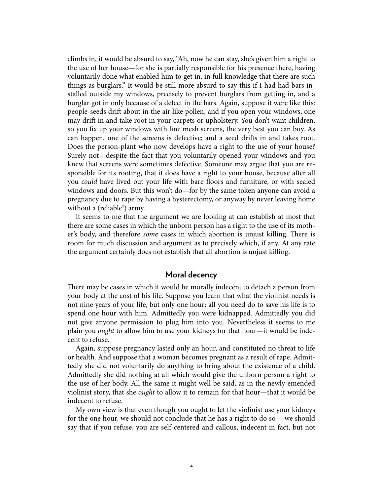climbs in, it would be absurd to say, "Ah, now he can stay, she's given him a right to the use of her house—for she is partially responsible for his presence there, having voluntarily done what enabled him to get in, in full knowledge that there are such things as burglars." It would be still more absurd to say this if I had had bars installed outside my windows, precisely to prevent burglars from getting in, and a burglar got in only because of a defect in the bars. Again, suppose it were like this: people-seeds drif about in the air like pollen, and if you open your windows, one may drif in and take root in your carpets or upholstery. You don't want children, so you fix up your windows with fine mesh screens, the very best you can buy. As can happen, one of the screens is defective; and a seed drifs in and takes root. Does the person-plant who now develops have a right to the use of your house? Surely not—despite the fact that you voluntarily opened your windows and you knew that screens were sometimes defective. Someone may argue that you are responsible for its rooting, that it does have a right to your house, because afer all you *could* have lived out your life with bare floors and furniture, or with sealed windows and doors. But this won't do—for by the same token anyone can avoid a pregnancy due to rape by having a hysterectomy, or anyway by never leaving home without a (reliable!) army.

It seems to me that the argument we are looking at can establish at most that there are some cases in which the unborn person has a right to the use of its mother's body, and therefore *some* cases in which abortion is unjust killing. There is room for much discussion and argument as to precisely which, if any. At any rate the argument certainly does not establish that all abortion is unjust killing.

#### **Moral decency**

There may be cases in which it would be morally indecent to detach a person from your body at the cost of his life. Suppose you learn that what the violinist needs is not nine years of your life, but only one hour: all you need do to save his life is to spend one hour with him. Admittedly you were kidnapped. Admittedly you did not give anyone permission to plug him into you. Nevertheless it seems to me plain you *ought* to allow him to use your kidneys for that hour—it would be indecent to refuse.

Again, suppose pregnancy lasted only an hour, and constituted no threat to life or health. And suppose that a woman becomes pregnant as a result of rape. Admittedly she did not voluntarily do anything to bring about the existence of a child. Admittedly she did nothing at all which would give the unborn person a right to the use of her body. All the same it might well be said, as in the newly emended violinist story, that she *ought* to allow it to remain for that hour—that it would be indecent to refuse.

My own view is that even though you ought to let the violinist use your kidneys for the one hour, we should not conclude that he has a right to do so —we should say that if you refuse, you are self-centered and callous, indecent in fact, but not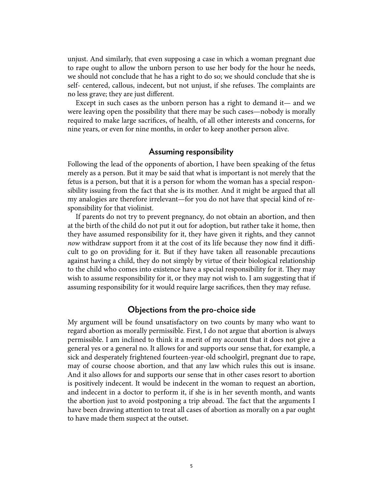unjust. And similarly, that even supposing a case in which a woman pregnant due to rape ought to allow the unborn person to use her body for the hour he needs, we should not conclude that he has a right to do so; we should conclude that she is self- centered, callous, indecent, but not unjust, if she refuses. The complaints are no less grave; they are just different.

Except in such cases as the unborn person has a right to demand it— and we were leaving open the possibility that there may be such cases—nobody is morally required to make large sacrifices, of health, of all other interests and concerns, for nine years, or even for nine months, in order to keep another person alive.

## **Assuming responsibility**

Following the lead of the opponents of abortion, I have been speaking of the fetus merely as a person. But it may be said that what is important is not merely that the fetus is a person, but that it is a person for whom the woman has a special responsibility issuing from the fact that she is its mother. And it might be argued that all my analogies are therefore irrelevant—for you do not have that special kind of responsibility for that violinist.

If parents do not try to prevent pregnancy, do not obtain an abortion, and then at the birth of the child do not put it out for adoption, but rather take it home, then they have assumed responsibility for it, they have given it rights, and they cannot *now* withdraw support from it at the cost of its life because they now find it difficult to go on providing for it. But if they have taken all reasonable precautions against having a child, they do not simply by virtue of their biological relationship to the child who comes into existence have a special responsibility for it. They may wish to assume responsibility for it, or they may not wish to. I am suggesting that if assuming responsibility for it would require large sacrifices, then they may refuse.

## **Objections from the pro-choice side**

My argument will be found unsatisfactory on two counts by many who want to regard abortion as morally permissible. First, I do not argue that abortion is always permissible. I am inclined to think it a merit of my account that it does not give a general yes or a general no. It allows for and supports our sense that, for example, a sick and desperately frightened fourteen-year-old schoolgirl, pregnant due to rape, may of course choose abortion, and that any law which rules this out is insane. And it also allows for and supports our sense that in other cases resort to abortion is positively indecent. It would be indecent in the woman to request an abortion, and indecent in a doctor to perform it, if she is in her seventh month, and wants the abortion just to avoid postponing a trip abroad. The fact that the arguments I have been drawing attention to treat all cases of abortion as morally on a par ought to have made them suspect at the outset.